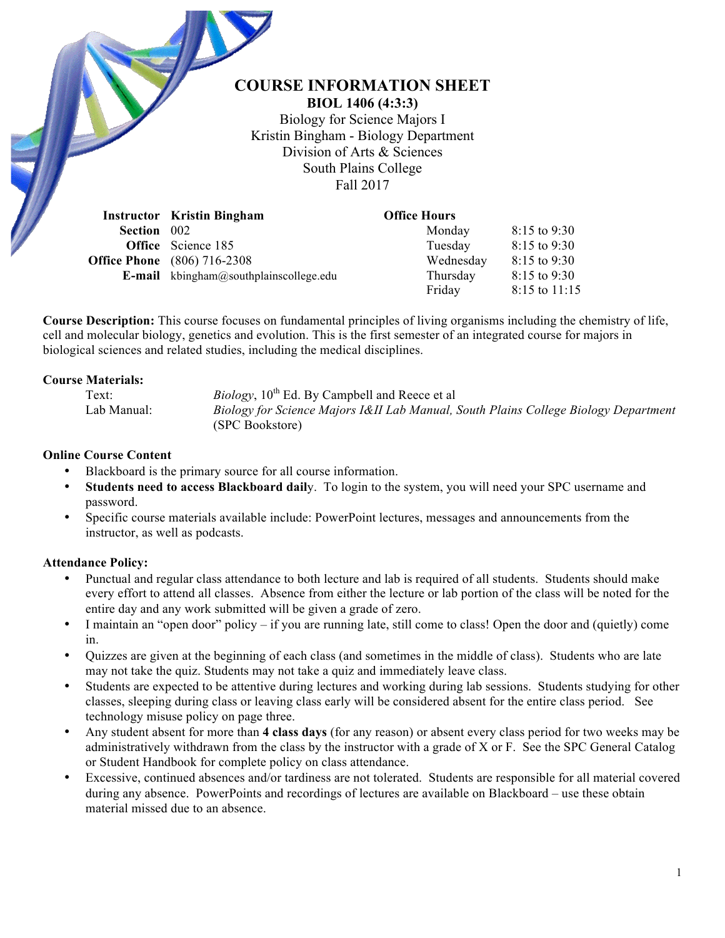# **COURSE INFORMATION SHEET**

**BIOL 1406 (4:3:3)** Biology for Science Majors I Kristin Bingham - Biology Department Division of Arts & Sciences South Plains College Fall 2017

|                    | <b>Instructor</b> Kristin Bingham             | <b>Office Hours</b> |                |
|--------------------|-----------------------------------------------|---------------------|----------------|
| <b>Section</b> 002 |                                               | Monday              | $8:15$ to 9:30 |
|                    | <b>Office</b> Science 185                     | Tuesday             | $8:15$ to 9:30 |
|                    | <b>Office Phone</b> (806) 716-2308            | Wednesday           | 8:15 to 9:30   |
|                    | <b>E-mail</b> kbingham@southplainscollege.edu | Thursday            | $8:15$ to 9:30 |
|                    |                                               | Friday              | 8:15 to 11:15  |

**Course Description:** This course focuses on fundamental principles of living organisms including the chemistry of life, cell and molecular biology, genetics and evolution. This is the first semester of an integrated course for majors in biological sciences and related studies, including the medical disciplines.

#### **Course Materials:**

| Text:       | <i>Biology</i> , 10 <sup>th</sup> Ed. By Campbell and Reece et al                   |
|-------------|-------------------------------------------------------------------------------------|
| Lab Manual: | Biology for Science Majors I&II Lab Manual, South Plains College Biology Department |
|             | (SPC Bookstore)                                                                     |

#### **Online Course Content**

- Blackboard is the primary source for all course information.
- **Students need to access Blackboard dail**y. To login to the system, you will need your SPC username and password.
- Specific course materials available include: PowerPoint lectures, messages and announcements from the instructor, as well as podcasts.

#### **Attendance Policy:**

- Punctual and regular class attendance to both lecture and lab is required of all students. Students should make every effort to attend all classes. Absence from either the lecture or lab portion of the class will be noted for the entire day and any work submitted will be given a grade of zero.
- I maintain an "open door" policy if you are running late, still come to class! Open the door and (quietly) come in.
- Quizzes are given at the beginning of each class (and sometimes in the middle of class). Students who are late may not take the quiz. Students may not take a quiz and immediately leave class.
- Students are expected to be attentive during lectures and working during lab sessions. Students studying for other classes, sleeping during class or leaving class early will be considered absent for the entire class period. See technology misuse policy on page three.
- Any student absent for more than **4 class days** (for any reason) or absent every class period for two weeks may be administratively withdrawn from the class by the instructor with a grade of X or F. See the SPC General Catalog or Student Handbook for complete policy on class attendance.
- Excessive, continued absences and/or tardiness are not tolerated. Students are responsible for all material covered during any absence. PowerPoints and recordings of lectures are available on Blackboard – use these obtain material missed due to an absence.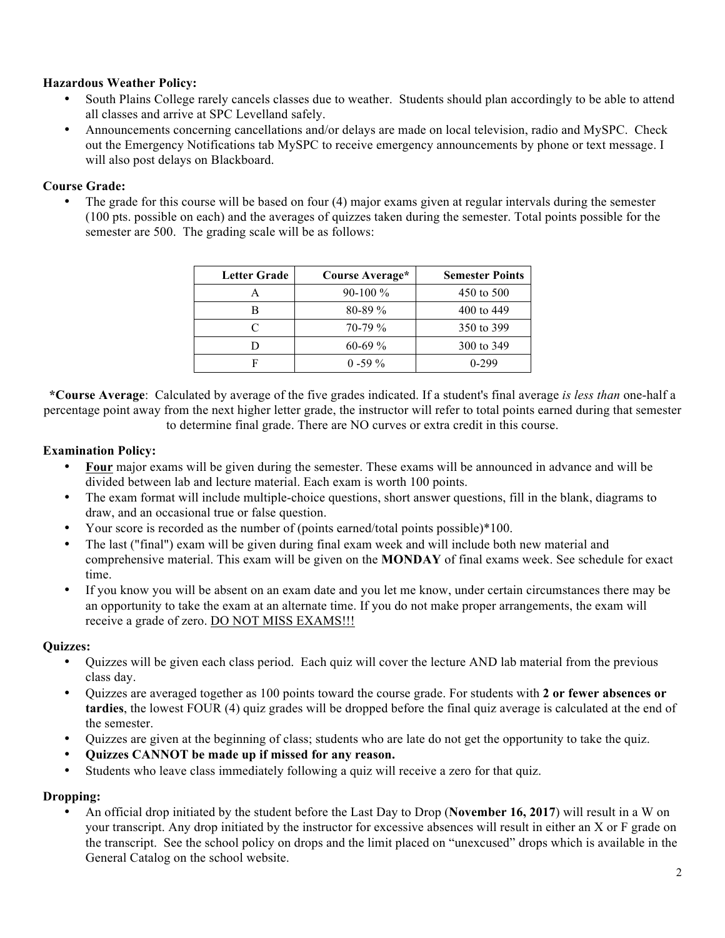# **Hazardous Weather Policy:**

- South Plains College rarely cancels classes due to weather. Students should plan accordingly to be able to attend all classes and arrive at SPC Levelland safely.
- Announcements concerning cancellations and/or delays are made on local television, radio and MySPC. Check out the Emergency Notifications tab MySPC to receive emergency announcements by phone or text message. I will also post delays on Blackboard.

# **Course Grade:**

The grade for this course will be based on four (4) major exams given at regular intervals during the semester (100 pts. possible on each) and the averages of quizzes taken during the semester. Total points possible for the semester are 500. The grading scale will be as follows:

| <b>Letter Grade</b> | Course Average* | <b>Semester Points</b> |
|---------------------|-----------------|------------------------|
|                     | $90-100\%$      | 450 to 500             |
|                     | $80 - 89\%$     | 400 to 449             |
| $\subset$           | $70-79\%$       | 350 to 399             |
|                     | $60-69%$        | 300 to 349             |
|                     | $0 - 59\%$      | 0-299                  |

**\*Course Average**: Calculated by average of the five grades indicated. If a student's final average *is less than* one-half a percentage point away from the next higher letter grade, the instructor will refer to total points earned during that semester to determine final grade. There are NO curves or extra credit in this course.

### **Examination Policy:**

- **Four** major exams will be given during the semester. These exams will be announced in advance and will be divided between lab and lecture material. Each exam is worth 100 points.
- The exam format will include multiple-choice questions, short answer questions, fill in the blank, diagrams to draw, and an occasional true or false question.
- Your score is recorded as the number of (points earned/total points possible)\*100.
- The last ("final") exam will be given during final exam week and will include both new material and comprehensive material. This exam will be given on the **MONDAY** of final exams week. See schedule for exact time.
- If you know you will be absent on an exam date and you let me know, under certain circumstances there may be an opportunity to take the exam at an alternate time. If you do not make proper arrangements, the exam will receive a grade of zero. DO NOT MISS EXAMS!!!

#### **Quizzes:**

- Quizzes will be given each class period. Each quiz will cover the lecture AND lab material from the previous class day.
- Quizzes are averaged together as 100 points toward the course grade. For students with **2 or fewer absences or tardies**, the lowest FOUR (4) quiz grades will be dropped before the final quiz average is calculated at the end of the semester.
- Quizzes are given at the beginning of class; students who are late do not get the opportunity to take the quiz.
- **Quizzes CANNOT be made up if missed for any reason.**
- Students who leave class immediately following a quiz will receive a zero for that quiz.

#### **Dropping:**

• An official drop initiated by the student before the Last Day to Drop (**November 16, 2017**) will result in a W on your transcript. Any drop initiated by the instructor for excessive absences will result in either an X or F grade on the transcript. See the school policy on drops and the limit placed on "unexcused" drops which is available in the General Catalog on the school website.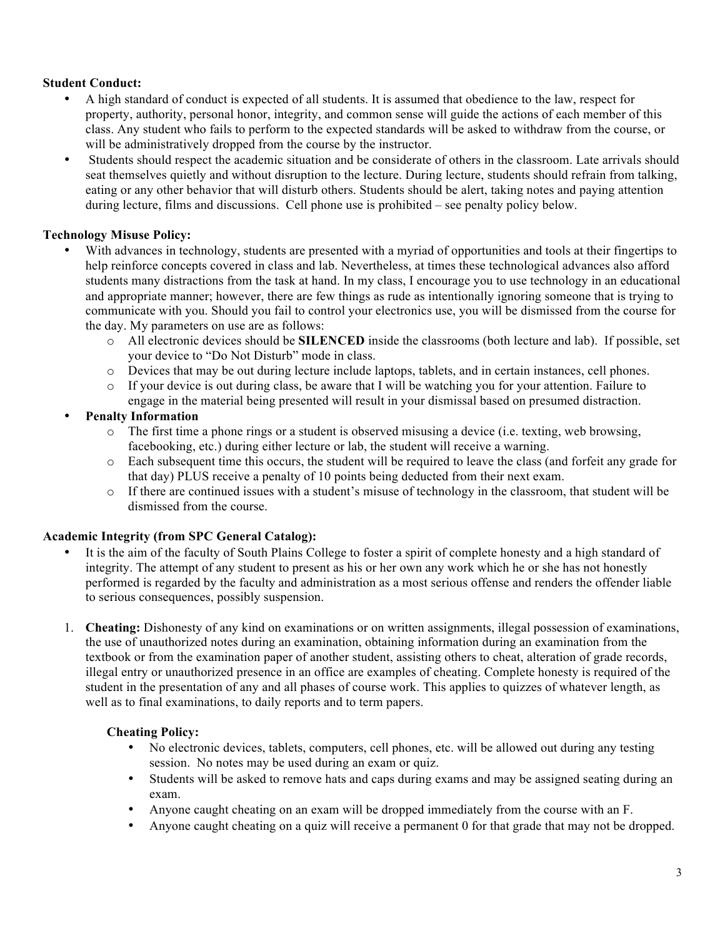### **Student Conduct:**

- A high standard of conduct is expected of all students. It is assumed that obedience to the law, respect for property, authority, personal honor, integrity, and common sense will guide the actions of each member of this class. Any student who fails to perform to the expected standards will be asked to withdraw from the course, or will be administratively dropped from the course by the instructor.
- Students should respect the academic situation and be considerate of others in the classroom. Late arrivals should seat themselves quietly and without disruption to the lecture. During lecture, students should refrain from talking, eating or any other behavior that will disturb others. Students should be alert, taking notes and paying attention during lecture, films and discussions. Cell phone use is prohibited – see penalty policy below.

# **Technology Misuse Policy:**

- With advances in technology, students are presented with a myriad of opportunities and tools at their fingertips to help reinforce concepts covered in class and lab. Nevertheless, at times these technological advances also afford students many distractions from the task at hand. In my class, I encourage you to use technology in an educational and appropriate manner; however, there are few things as rude as intentionally ignoring someone that is trying to communicate with you. Should you fail to control your electronics use, you will be dismissed from the course for the day. My parameters on use are as follows:
	- o All electronic devices should be **SILENCED** inside the classrooms (both lecture and lab). If possible, set your device to "Do Not Disturb" mode in class.
	- o Devices that may be out during lecture include laptops, tablets, and in certain instances, cell phones.
	- $\circ$  If your device is out during class, be aware that I will be watching you for your attention. Failure to engage in the material being presented will result in your dismissal based on presumed distraction.

# • **Penalty Information**

- $\circ$  The first time a phone rings or a student is observed misusing a device (i.e. texting, web browsing, facebooking, etc.) during either lecture or lab, the student will receive a warning.
- o Each subsequent time this occurs, the student will be required to leave the class (and forfeit any grade for that day) PLUS receive a penalty of 10 points being deducted from their next exam.
- o If there are continued issues with a student's misuse of technology in the classroom, that student will be dismissed from the course.

### **Academic Integrity (from SPC General Catalog):**

- It is the aim of the faculty of South Plains College to foster a spirit of complete honesty and a high standard of integrity. The attempt of any student to present as his or her own any work which he or she has not honestly performed is regarded by the faculty and administration as a most serious offense and renders the offender liable to serious consequences, possibly suspension.
- 1. **Cheating:** Dishonesty of any kind on examinations or on written assignments, illegal possession of examinations, the use of unauthorized notes during an examination, obtaining information during an examination from the textbook or from the examination paper of another student, assisting others to cheat, alteration of grade records, illegal entry or unauthorized presence in an office are examples of cheating. Complete honesty is required of the student in the presentation of any and all phases of course work. This applies to quizzes of whatever length, as well as to final examinations, to daily reports and to term papers.

### **Cheating Policy:**

- No electronic devices, tablets, computers, cell phones, etc. will be allowed out during any testing session. No notes may be used during an exam or quiz.
- Students will be asked to remove hats and caps during exams and may be assigned seating during an exam.
- Anyone caught cheating on an exam will be dropped immediately from the course with an F.
- Anyone caught cheating on a quiz will receive a permanent 0 for that grade that may not be dropped.